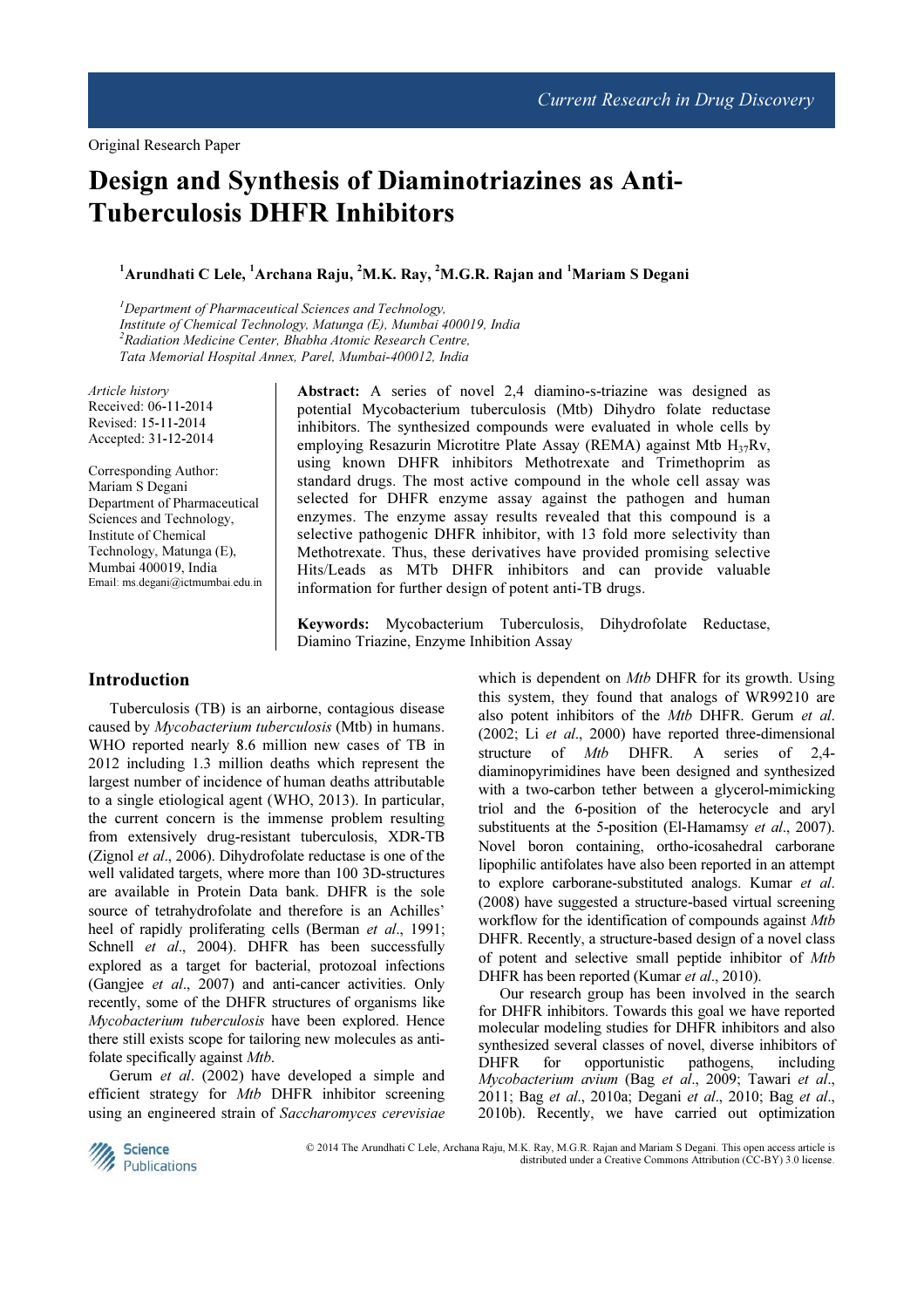# Design and Synthesis of Diaminotriazines as Anti-Tuberculosis DHFR Inhibitors

<sup>1</sup>Arundhati C Lele, <sup>1</sup>Archana Raju, <sup>2</sup>M.K. Ray, <sup>2</sup>M.G.R. Rajan and <sup>1</sup>Mariam S Degani

 $1$ Department of Pharmaceutical Sciences and Technology, Institute of Chemical Technology, Matunga (E), Mumbai 400019, India  $2R$ adiation Medicine Center, Bhabha Atomic Research Centre, Tata Memorial Hospital Annex, Parel, Mumbai-400012, India

Article history Received: 06-11-2014 Revised: 15-11-2014 Accepted: 31-12-2014

Corresponding Author: Mariam S Degani Department of Pharmaceutical Sciences and Technology, Institute of Chemical Technology, Matunga (E), Mumbai 400019, India Email: ms.degani@ictmumbai.edu.in

Abstract: A series of novel 2,4 diamino-s-triazine was designed as potential Mycobacterium tuberculosis (Mtb) Dihydro folate reductase inhibitors. The synthesized compounds were evaluated in whole cells by employing Resazurin Microtitre Plate Assay (REMA) against Mtb  $H_{37}Rv$ , using known DHFR inhibitors Methotrexate and Trimethoprim as standard drugs. The most active compound in the whole cell assay was selected for DHFR enzyme assay against the pathogen and human enzymes. The enzyme assay results revealed that this compound is a selective pathogenic DHFR inhibitor, with 13 fold more selectivity than Methotrexate. Thus, these derivatives have provided promising selective Hits/Leads as MTb DHFR inhibitors and can provide valuable information for further design of potent anti-TB drugs.

Keywords: Mycobacterium Tuberculosis, Dihydrofolate Reductase, Diamino Triazine, Enzyme Inhibition Assay

## Introduction

Tuberculosis (TB) is an airborne, contagious disease caused by Mycobacterium tuberculosis (Mtb) in humans. WHO reported nearly 8.6 million new cases of TB in 2012 including 1.3 million deaths which represent the largest number of incidence of human deaths attributable to a single etiological agent (WHO, 2013). In particular, the current concern is the immense problem resulting from extensively drug-resistant tuberculosis, XDR-TB (Zignol et al., 2006). Dihydrofolate reductase is one of the well validated targets, where more than 100 3D-structures are available in Protein Data bank. DHFR is the sole source of tetrahydrofolate and therefore is an Achilles' heel of rapidly proliferating cells (Berman et al., 1991; Schnell et al., 2004). DHFR has been successfully explored as a target for bacterial, protozoal infections (Gangjee et al., 2007) and anti-cancer activities. Only recently, some of the DHFR structures of organisms like Mycobacterium tuberculosis have been explored. Hence there still exists scope for tailoring new molecules as antifolate specifically against *Mtb*.

Gerum et al. (2002) have developed a simple and efficient strategy for Mtb DHFR inhibitor screening using an engineered strain of Saccharomyces cerevisiae

which is dependent on *Mtb* DHFR for its growth. Using this system, they found that analogs of WR99210 are also potent inhibitors of the Mtb DHFR. Gerum et al. (2002; Li et al., 2000) have reported three-dimensional structure of *Mtb* DHFR. A series of 2,4diaminopyrimidines have been designed and synthesized with a two-carbon tether between a glycerol-mimicking triol and the 6-position of the heterocycle and aryl substituents at the 5-position (El-Hamamsy et al., 2007). Novel boron containing, ortho-icosahedral carborane lipophilic antifolates have also been reported in an attempt to explore carborane-substituted analogs. Kumar et al. (2008) have suggested a structure-based virtual screening workflow for the identification of compounds against Mtb DHFR. Recently, a structure-based design of a novel class of potent and selective small peptide inhibitor of Mtb DHFR has been reported (Kumar et al., 2010).

Our research group has been involved in the search for DHFR inhibitors. Towards this goal we have reported molecular modeling studies for DHFR inhibitors and also synthesized several classes of novel, diverse inhibitors of DHFR for opportunistic pathogens, including Mycobacterium avium (Bag et al., 2009; Tawari et al., 2011; Bag et al., 2010a; Degani et al., 2010; Bag et al., 2010b). Recently, we have carried out optimization



© 2014 The Arundhati C Lele, Archana Raju, M.K. Ray, M.G.R. Rajan and Mariam S Degani. This open access article is distributed under a Creative Commons Attribution (CC-BY) 3.0 license.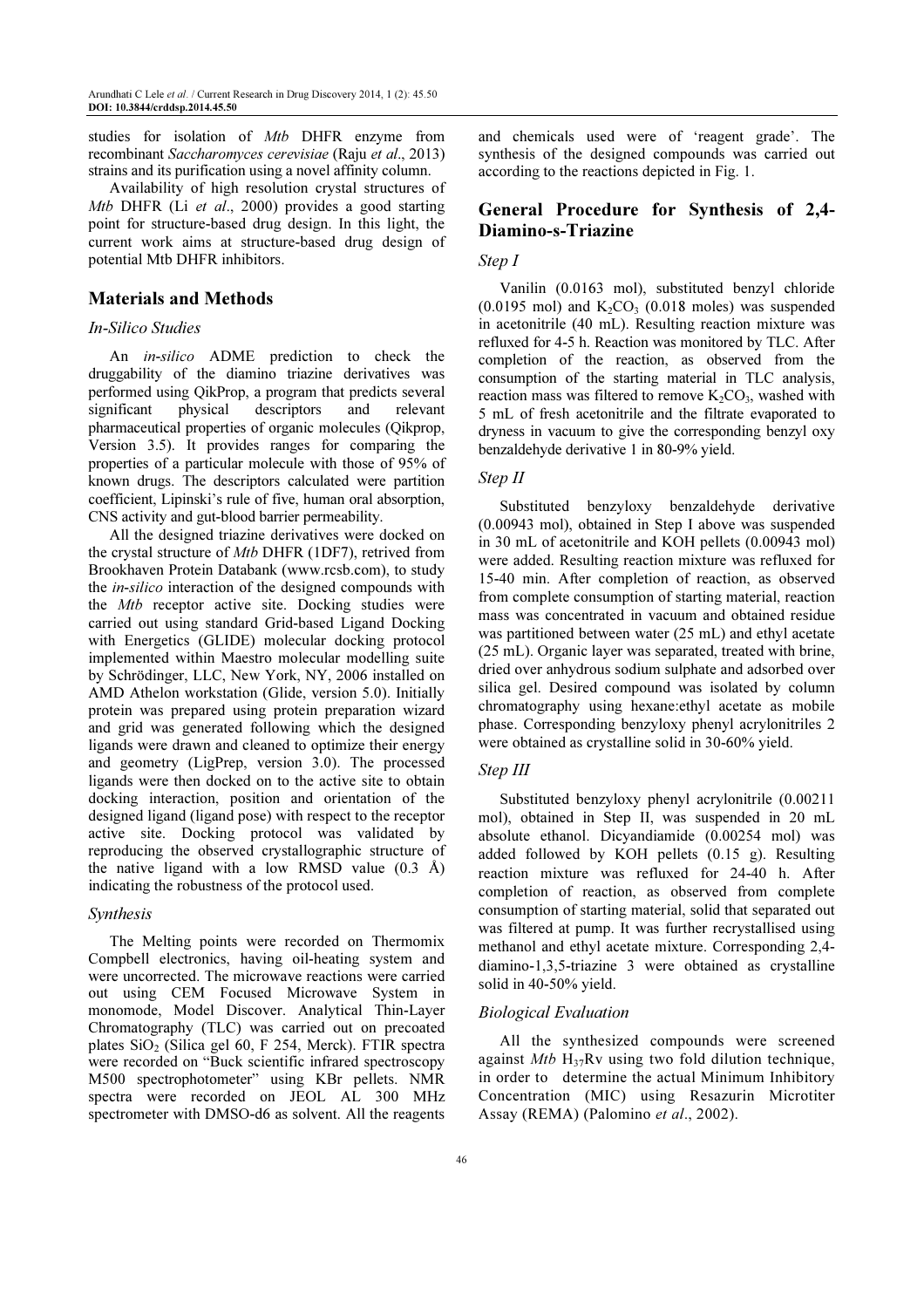studies for isolation of Mtb DHFR enzyme from recombinant Saccharomyces cerevisiae (Raju et al., 2013) strains and its purification using a novel affinity column.

Availability of high resolution crystal structures of Mtb DHFR (Li et al., 2000) provides a good starting point for structure-based drug design. In this light, the current work aims at structure-based drug design of potential Mtb DHFR inhibitors.

## Materials and Methods

## In-Silico Studies

An in-silico ADME prediction to check the druggability of the diamino triazine derivatives was performed using QikProp, a program that predicts several significant physical descriptors and relevant pharmaceutical properties of organic molecules (Qikprop, Version 3.5). It provides ranges for comparing the properties of a particular molecule with those of 95% of known drugs. The descriptors calculated were partition coefficient, Lipinski's rule of five, human oral absorption, CNS activity and gut-blood barrier permeability.

All the designed triazine derivatives were docked on the crystal structure of Mtb DHFR (1DF7), retrived from Brookhaven Protein Databank (www.rcsb.com), to study the in-silico interaction of the designed compounds with the *Mtb* receptor active site. Docking studies were carried out using standard Grid-based Ligand Docking with Energetics (GLIDE) molecular docking protocol implemented within Maestro molecular modelling suite by Schrödinger, LLC, New York, NY, 2006 installed on AMD Athelon workstation (Glide, version 5.0). Initially protein was prepared using protein preparation wizard and grid was generated following which the designed ligands were drawn and cleaned to optimize their energy and geometry (LigPrep, version 3.0). The processed ligands were then docked on to the active site to obtain docking interaction, position and orientation of the designed ligand (ligand pose) with respect to the receptor active site. Docking protocol was validated by reproducing the observed crystallographic structure of the native ligand with a low RMSD value (0.3 Å) indicating the robustness of the protocol used.

#### Synthesis

The Melting points were recorded on Thermomix Compbell electronics, having oil-heating system and were uncorrected. The microwave reactions were carried out using CEM Focused Microwave System in monomode, Model Discover. Analytical Thin-Layer Chromatography (TLC) was carried out on precoated plates  $SiO<sub>2</sub>$  (Silica gel 60, F 254, Merck). FTIR spectra were recorded on "Buck scientific infrared spectroscopy M500 spectrophotometer" using KBr pellets. NMR spectra were recorded on JEOL AL 300 MHz spectrometer with DMSO-d6 as solvent. All the reagents

and chemicals used were of 'reagent grade'. The synthesis of the designed compounds was carried out according to the reactions depicted in Fig. 1.

# General Procedure for Synthesis of 2,4- Diamino-s-Triazine

## Step I

Vanilin (0.0163 mol), substituted benzyl chloride  $(0.0195 \text{ mol})$  and  $K_2CO_3$   $(0.018 \text{ moles})$  was suspended in acetonitrile (40 mL). Resulting reaction mixture was refluxed for 4-5 h. Reaction was monitored by TLC. After completion of the reaction, as observed from the consumption of the starting material in TLC analysis, reaction mass was filtered to remove  $K_2CO_3$ , washed with 5 mL of fresh acetonitrile and the filtrate evaporated to dryness in vacuum to give the corresponding benzyl oxy benzaldehyde derivative 1 in 80-9% yield.

#### Step II

Substituted benzyloxy benzaldehyde derivative (0.00943 mol), obtained in Step I above was suspended in 30 mL of acetonitrile and KOH pellets (0.00943 mol) were added. Resulting reaction mixture was refluxed for 15-40 min. After completion of reaction, as observed from complete consumption of starting material, reaction mass was concentrated in vacuum and obtained residue was partitioned between water (25 mL) and ethyl acetate (25 mL). Organic layer was separated, treated with brine, dried over anhydrous sodium sulphate and adsorbed over silica gel. Desired compound was isolated by column chromatography using hexane:ethyl acetate as mobile phase. Corresponding benzyloxy phenyl acrylonitriles 2 were obtained as crystalline solid in 30-60% yield.

## Step III

Substituted benzyloxy phenyl acrylonitrile (0.00211 mol), obtained in Step II, was suspended in 20 mL absolute ethanol. Dicyandiamide (0.00254 mol) was added followed by KOH pellets (0.15 g). Resulting reaction mixture was refluxed for 24-40 h. After completion of reaction, as observed from complete consumption of starting material, solid that separated out was filtered at pump. It was further recrystallised using methanol and ethyl acetate mixture. Corresponding 2,4 diamino-1,3,5-triazine 3 were obtained as crystalline solid in 40-50% yield.

#### Biological Evaluation

All the synthesized compounds were screened against  $Mtb$  H<sub>37</sub>Rv using two fold dilution technique, in order to determine the actual Minimum Inhibitory Concentration (MIC) using Resazurin Microtiter Assay (REMA) (Palomino et al., 2002).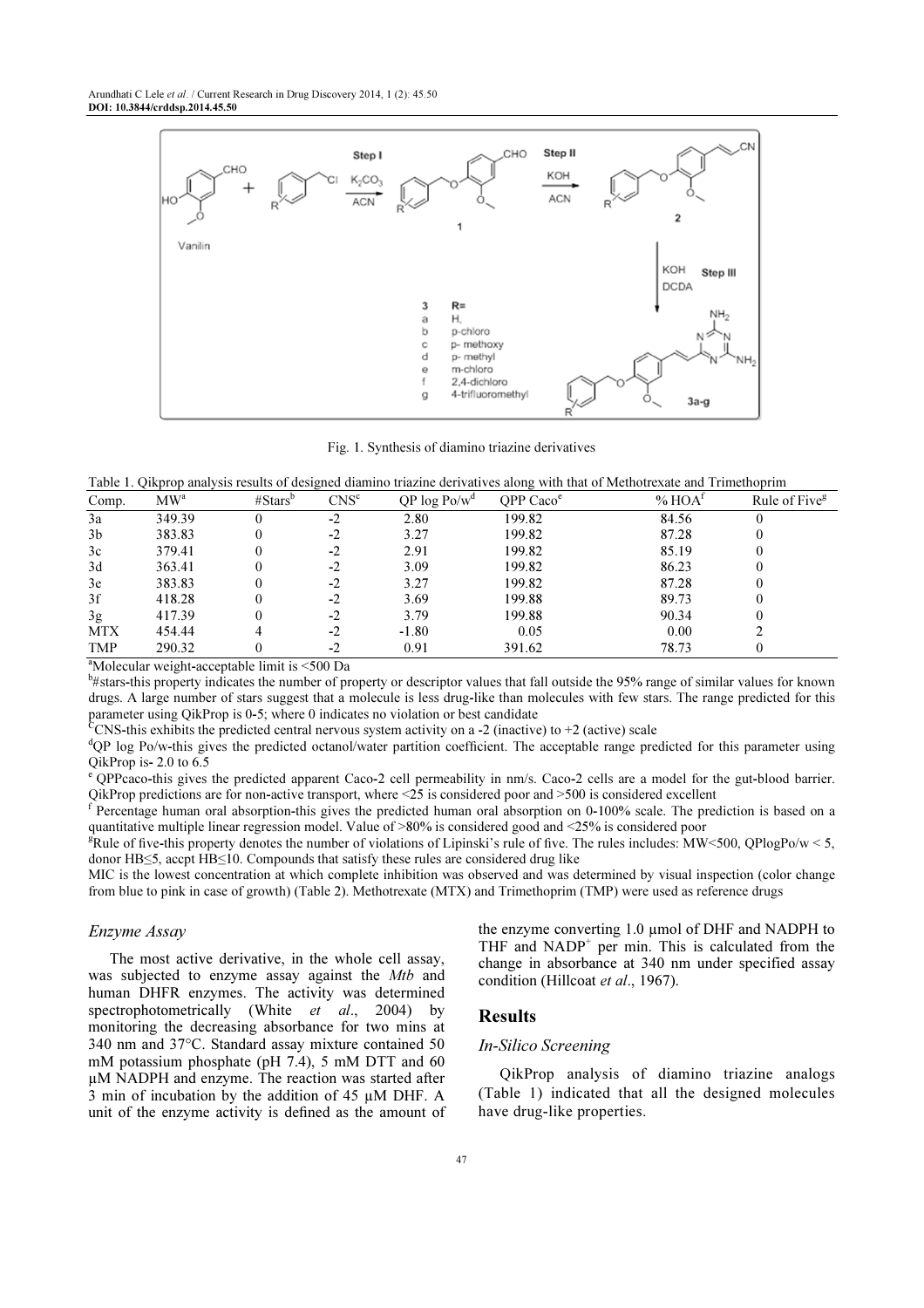

Fig. 1. Synthesis of diamino triazine derivatives

Table 1. Qikprop analysis results of designed diamino triazine derivatives along with that of Methotrexate and Trimethoprim

| Comp.          | MW <sup>a</sup> | # Stars <sup>b</sup> | CNS <sup>c</sup> | $QP \log Po/w^d$ | OPP $Cacoe$ | % HOA <sup>t</sup> | Rule of Five <sup>g</sup> |
|----------------|-----------------|----------------------|------------------|------------------|-------------|--------------------|---------------------------|
| 3a             | 349.39          |                      | $-2$             | 2.80             | 199.82      | 84.56              |                           |
| 3 <sub>b</sub> | 383.83          |                      | $-2$             | 3.27             | 199.82      | 87.28              |                           |
| 3c             | 379.41          |                      | $-2$             | 2.91             | 199.82      | 85.19              |                           |
| 3d             | 363.41          |                      | $-2$             | 3.09             | 199.82      | 86.23              |                           |
| 3e             | 383.83          |                      | $-2$             | 3.27             | 199.82      | 87.28              |                           |
| 3f             | 418.28          |                      | $-2$             | 3.69             | 199.88      | 89.73              |                           |
| 3g             | 417.39          |                      | $-2$             | 3.79             | 199.88      | 90.34              |                           |
| <b>MTX</b>     | 454.44          |                      | $-2$             | $-1.80$          | 0.05        | 0.00               |                           |
| <b>TMP</b>     | 290.32          |                      | $-2$             | 0.91             | 391.62      | 78.73              |                           |

<sup>a</sup>Molecular weight-acceptable limit is <500 Da

b #stars-this property indicates the number of property or descriptor values that fall outside the 95% range of similar values for known drugs. A large number of stars suggest that a molecule is less drug-like than molecules with few stars. The range predicted for this parameter using QikProp is 0-5; where 0 indicates no violation or best candidate

CCNS-this exhibits the predicted central nervous system activity on a -2 (inactive) to +2 (active) scale

<sup>d</sup>QP log Po/w-this gives the predicted octanol/water partition coefficient. The acceptable range predicted for this parameter using QikProp is- 2.0 to 6.5

<sup>e</sup>QPPcaco-this gives the predicted apparent Caco-2 cell permeability in nm/s. Caco-2 cells are a model for the gut-blood barrier. QikProp predictions are for non-active transport, where <25 is considered poor and >500 is considered excellent

f Percentage human oral absorption-this gives the predicted human oral absorption on 0-100% scale. The prediction is based on a quantitative multiple linear regression model. Value of >80% is considered good and <25% is considered poor

<sup>g</sup>Rule of five-this property denotes the number of violations of Lipinski's rule of five. The rules includes: MW<500, QPlogPo/w < 5, donor HB≤5, accpt HB≤10. Compounds that satisfy these rules are considered drug like

MIC is the lowest concentration at which complete inhibition was observed and was determined by visual inspection (color change from blue to pink in case of growth) (Table 2). Methotrexate (MTX) and Trimethoprim (TMP) were used as reference drugs

#### Enzyme Assay

The most active derivative, in the whole cell assay, was subjected to enzyme assay against the Mtb and human DHFR enzymes. The activity was determined spectrophotometrically (White et al., 2004) by monitoring the decreasing absorbance for two mins at 340 nm and 37°C. Standard assay mixture contained 50 mM potassium phosphate (pH 7.4), 5 mM DTT and 60 µM NADPH and enzyme. The reaction was started after 3 min of incubation by the addition of 45 µM DHF. A unit of the enzyme activity is defined as the amount of the enzyme converting 1.0 umol of DHF and NADPH to THF and NADP<sup>+</sup> per min. This is calculated from the change in absorbance at 340 nm under specified assay condition (Hillcoat et al., 1967).

## Results

#### In-Silico Screening

QikProp analysis of diamino triazine analogs (Table 1) indicated that all the designed molecules have drug-like properties.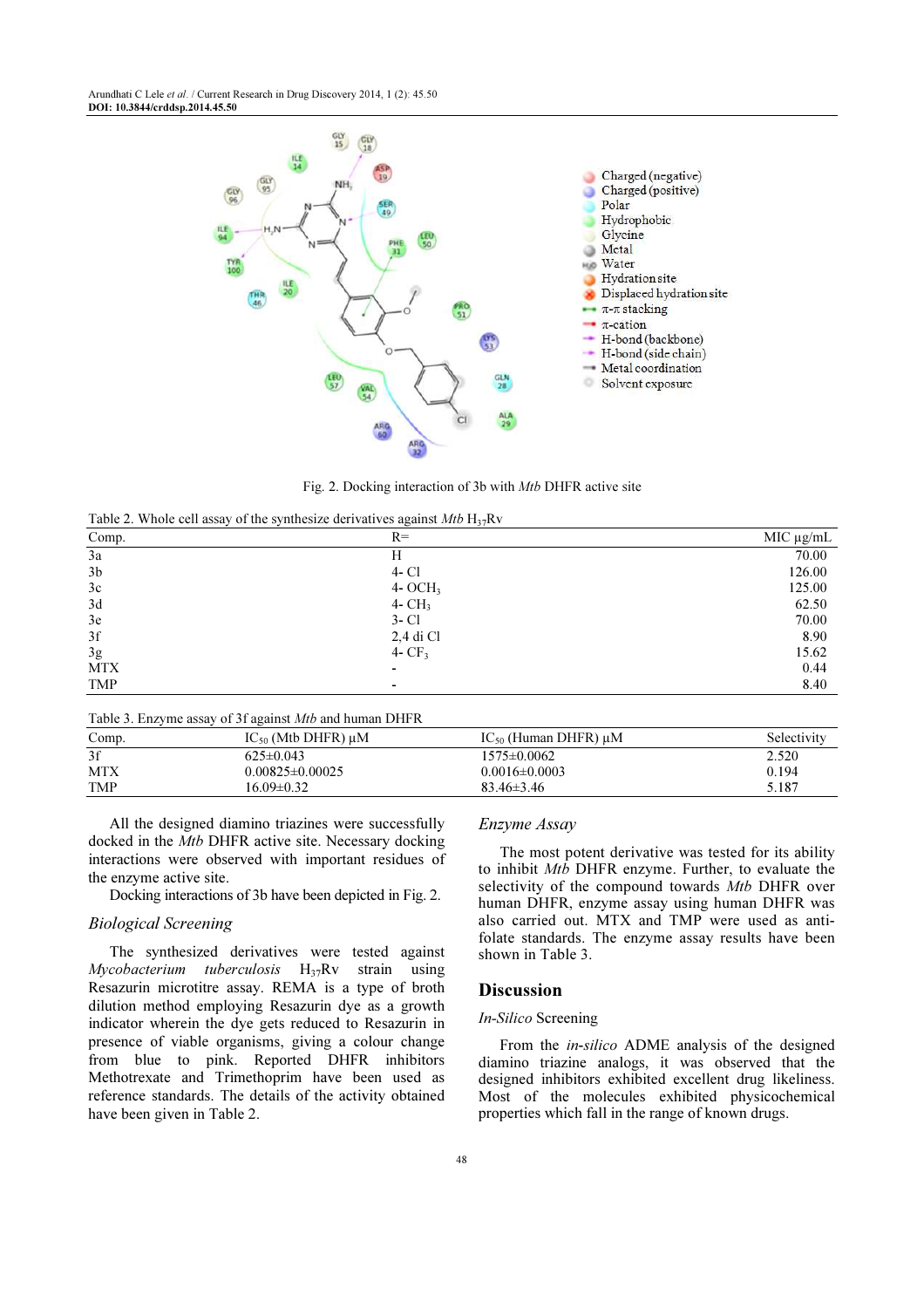

Fig. 2. Docking interaction of 3b with Mtb DHFR active site

| Table 2. Whole cell assay of the synthesize derivatives against Mtb $H_{37}Rv$ |  |
|--------------------------------------------------------------------------------|--|
|--------------------------------------------------------------------------------|--|

| Comp.          | $\tilde{}$<br>.<br>$R=$  | $MIC$ $\mu$ g/mL |
|----------------|--------------------------|------------------|
| $3\mathrm{a}$  | Н                        | 70.00            |
| 3 <sub>b</sub> | $4 - CI$                 | 126.00           |
| $3\mathrm{c}$  | $4- OCH3$                | 125.00           |
| 3d             | $4 - CH3$                | 62.50            |
| $3\mathrm{e}$  | $3 - Cl$                 | 70.00            |
| $3\mathrm{f}$  | 2,4 di Cl                | 8.90             |
| 3g             | 4- $CF3$                 | 15.62            |
| <b>MTX</b>     | $\overline{\phantom{0}}$ | 0.44             |
| TMP            | ٠                        | 8.40             |

Table 3. Enzyme assay of 3f against Mtb and human DHFR

| Comp. | $IC_{50}$ (Mtb DHFR) $\mu$ M | $IC_{50}$ (Human DHFR) $\mu$ M | Selectivity |
|-------|------------------------------|--------------------------------|-------------|
| 3f    | $625\pm0.043$                | $1575 \pm 0.0062$              | 2.520       |
| MTX   | $0.00825 \pm 0.00025$        | $0.0016\pm0.0003$              | 0.194       |
| TMP   | 16.09±0.32                   | $83.46\pm3.46$                 | 5.187       |

All the designed diamino triazines were successfully docked in the Mtb DHFR active site. Necessary docking interactions were observed with important residues of the enzyme active site.

Docking interactions of 3b have been depicted in Fig. 2.

## Biological Screening

The synthesized derivatives were tested against  $Mycobacterium$  tuberculosis  $H_{37}Rv$  strain using Resazurin microtitre assay. REMA is a type of broth dilution method employing Resazurin dye as a growth indicator wherein the dye gets reduced to Resazurin in presence of viable organisms, giving a colour change from blue to pink. Reported DHFR inhibitors Methotrexate and Trimethoprim have been used as reference standards. The details of the activity obtained have been given in Table 2.

#### Enzyme Assay

The most potent derivative was tested for its ability to inhibit Mtb DHFR enzyme. Further, to evaluate the selectivity of the compound towards Mtb DHFR over human DHFR, enzyme assay using human DHFR was also carried out. MTX and TMP were used as antifolate standards. The enzyme assay results have been shown in Table 3.

#### **Discussion**

#### In-Silico Screening

From the in-silico ADME analysis of the designed diamino triazine analogs, it was observed that the designed inhibitors exhibited excellent drug likeliness. Most of the molecules exhibited physicochemical properties which fall in the range of known drugs.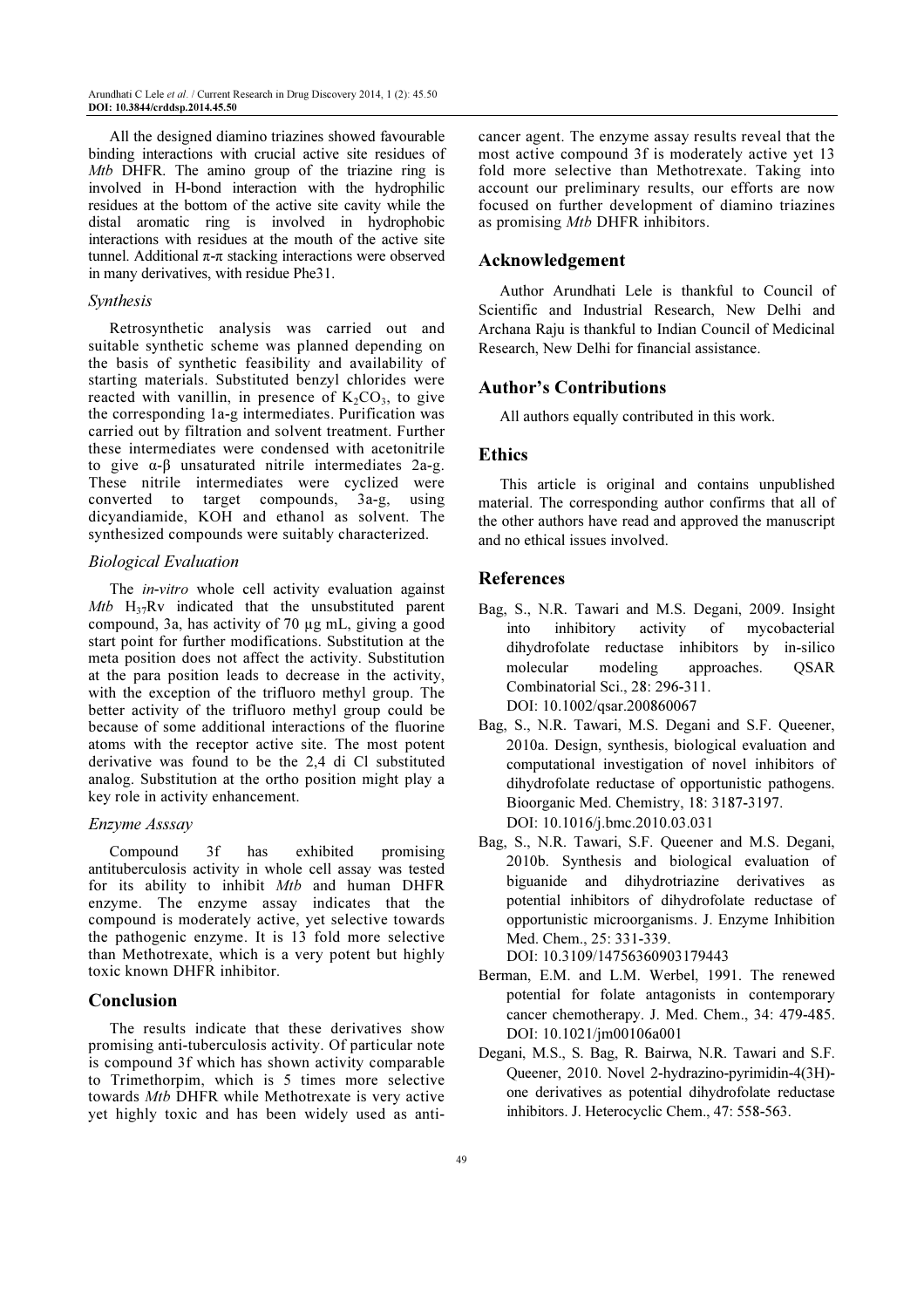All the designed diamino triazines showed favourable binding interactions with crucial active site residues of Mtb DHFR. The amino group of the triazine ring is involved in H-bond interaction with the hydrophilic residues at the bottom of the active site cavity while the distal aromatic ring is involved in hydrophobic interactions with residues at the mouth of the active site tunnel. Additional π-π stacking interactions were observed in many derivatives, with residue Phe31.

#### Synthesis

Retrosynthetic analysis was carried out and suitable synthetic scheme was planned depending on the basis of synthetic feasibility and availability of starting materials. Substituted benzyl chlorides were reacted with vanillin, in presence of  $K_2CO_3$ , to give the corresponding 1a-g intermediates. Purification was carried out by filtration and solvent treatment. Further these intermediates were condensed with acetonitrile to give α-β unsaturated nitrile intermediates 2a-g. These nitrile intermediates were cyclized were converted to target compounds, 3a-g, using dicyandiamide, KOH and ethanol as solvent. The synthesized compounds were suitably characterized.

#### Biological Evaluation

The *in-vitro* whole cell activity evaluation against Mtb  $H_{37}Rv$  indicated that the unsubstituted parent compound, 3a, has activity of 70 µg mL, giving a good start point for further modifications. Substitution at the meta position does not affect the activity. Substitution at the para position leads to decrease in the activity, with the exception of the trifluoro methyl group. The better activity of the trifluoro methyl group could be because of some additional interactions of the fluorine atoms with the receptor active site. The most potent derivative was found to be the 2,4 di Cl substituted analog. Substitution at the ortho position might play a key role in activity enhancement.

## Enzyme Asssay

Compound 3f has exhibited promising antituberculosis activity in whole cell assay was tested for its ability to inhibit Mtb and human DHFR enzyme. The enzyme assay indicates that the compound is moderately active, yet selective towards the pathogenic enzyme. It is 13 fold more selective than Methotrexate, which is a very potent but highly toxic known DHFR inhibitor.

#### Conclusion

The results indicate that these derivatives show promising anti-tuberculosis activity. Of particular note is compound 3f which has shown activity comparable to Trimethorpim, which is 5 times more selective towards Mtb DHFR while Methotrexate is very active yet highly toxic and has been widely used as anticancer agent. The enzyme assay results reveal that the most active compound 3f is moderately active yet 13 fold more selective than Methotrexate. Taking into account our preliminary results, our efforts are now focused on further development of diamino triazines as promising Mtb DHFR inhibitors.

## Acknowledgement

Author Arundhati Lele is thankful to Council of Scientific and Industrial Research, New Delhi and Archana Raju is thankful to Indian Council of Medicinal Research, New Delhi for financial assistance.

## Author's Contributions

All authors equally contributed in this work.

## **Ethics**

This article is original and contains unpublished material. The corresponding author confirms that all of the other authors have read and approved the manuscript and no ethical issues involved.

#### References

- Bag, S., N.R. Tawari and M.S. Degani, 2009. Insight into inhibitory activity of mycobacterial dihydrofolate reductase inhibitors by in-silico molecular modeling approaches. QSAR Combinatorial Sci., 28: 296-311. DOI: 10.1002/qsar.200860067
- Bag, S., N.R. Tawari, M.S. Degani and S.F. Queener, 2010a. Design, synthesis, biological evaluation and computational investigation of novel inhibitors of dihydrofolate reductase of opportunistic pathogens. Bioorganic Med. Chemistry, 18: 3187-3197. DOI: 10.1016/j.bmc.2010.03.031
- Bag, S., N.R. Tawari, S.F. Queener and M.S. Degani, 2010b. Synthesis and biological evaluation of biguanide and dihydrotriazine derivatives as potential inhibitors of dihydrofolate reductase of opportunistic microorganisms. J. Enzyme Inhibition Med. Chem., 25: 331-339. DOI: 10.3109/14756360903179443
- Berman, E.M. and L.M. Werbel, 1991. The renewed potential for folate antagonists in contemporary cancer chemotherapy. J. Med. Chem., 34: 479-485. DOI: 10.1021/jm00106a001
- Degani, M.S., S. Bag, R. Bairwa, N.R. Tawari and S.F. Queener, 2010. Novel 2-hydrazino-pyrimidin-4(3H) one derivatives as potential dihydrofolate reductase inhibitors. J. Heterocyclic Chem., 47: 558-563.